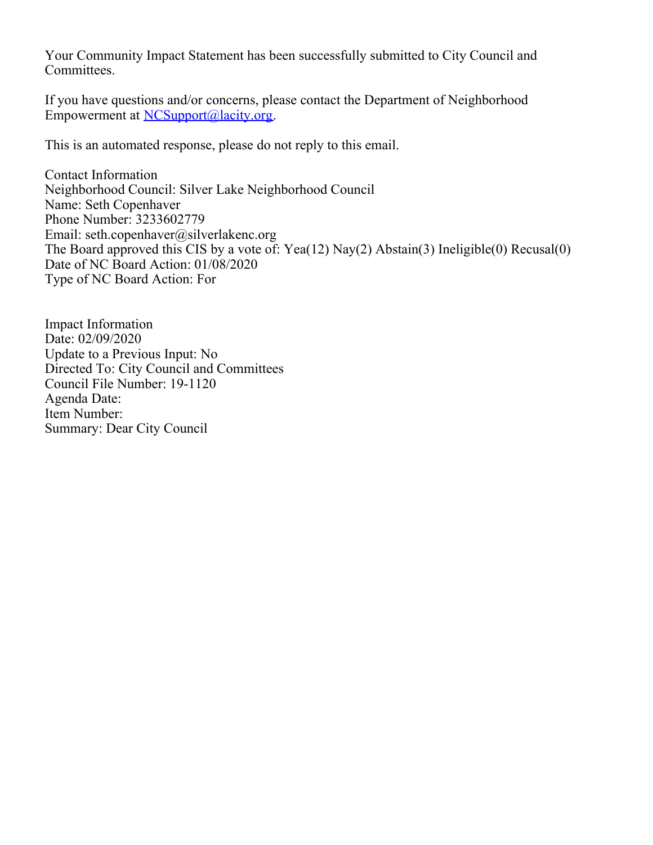Your Community Impact Statement has been successfully submitted to City Council and Committees.

If you have questions and/or concerns, please contact the Department of Neighborhood Empowerment at [NCSupport@lacity.org](mailto:NCSupport@lacity.org).

This is an automated response, please do not reply to this email.

Contact Information Neighborhood Council: Silver Lake Neighborhood Council Name: Seth Copenhaver Phone Number: 3233602779 Email: seth.copenhaver@silverlakenc.org The Board approved this CIS by a vote of: Yea(12) Nay(2) Abstain(3) Ineligible(0) Recusal(0) Date of NC Board Action: 01/08/2020 Type of NC Board Action: For

Impact Information Date: 02/09/2020 Update to a Previous Input: No Directed To: City Council and Committees Council File Number: 19-1120 Agenda Date: Item Number: Summary: Dear City Council